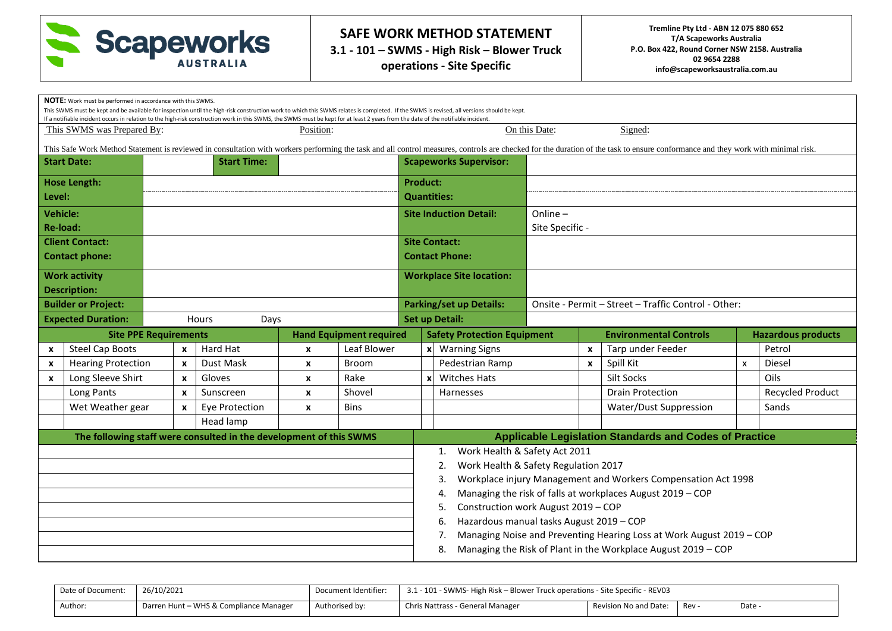

**3.1 - 101 – SWMS - High Risk – Blower Truck operations - Site Specific**

|                           | <b>NOTE:</b> Work must be performed in accordance with this SWMS. |                              |                                                                                                                                                                                   |                  |                                |                                                                                                                                                                                            |                           |                                                |                 |                    |                                                                                                                                                                                                                                |                           |                           |
|---------------------------|-------------------------------------------------------------------|------------------------------|-----------------------------------------------------------------------------------------------------------------------------------------------------------------------------------|------------------|--------------------------------|--------------------------------------------------------------------------------------------------------------------------------------------------------------------------------------------|---------------------------|------------------------------------------------|-----------------|--------------------|--------------------------------------------------------------------------------------------------------------------------------------------------------------------------------------------------------------------------------|---------------------------|---------------------------|
|                           |                                                                   |                              | If a notifiable incident occurs in relation to the high-risk construction work in this SWMS, the SWMS must be kept for at least 2 years from the date of the notifiable incident. |                  |                                | This SWMS must be kept and be available for inspection until the high-risk construction work to which this SWMS relates is completed. If the SWMS is revised, all versions should be kept. |                           |                                                |                 |                    |                                                                                                                                                                                                                                |                           |                           |
|                           | This SWMS was Prepared By:                                        |                              |                                                                                                                                                                                   | Position:        |                                |                                                                                                                                                                                            |                           |                                                | On this Date:   |                    | Signed:                                                                                                                                                                                                                        |                           |                           |
|                           |                                                                   |                              |                                                                                                                                                                                   |                  |                                |                                                                                                                                                                                            |                           |                                                |                 |                    | This Safe Work Method Statement is reviewed in consultation with workers performing the task and all control measures, controls are checked for the duration of the task to ensure conformance and they work with minimal risk |                           |                           |
|                           | <b>Start Date:</b>                                                |                              | <b>Start Time:</b>                                                                                                                                                                |                  |                                |                                                                                                                                                                                            |                           | <b>Scapeworks Supervisor:</b>                  |                 |                    |                                                                                                                                                                                                                                |                           |                           |
|                           | <b>Hose Length:</b>                                               |                              |                                                                                                                                                                                   |                  |                                | <b>Product:</b>                                                                                                                                                                            |                           |                                                |                 |                    |                                                                                                                                                                                                                                |                           |                           |
| Level:                    |                                                                   |                              |                                                                                                                                                                                   |                  |                                |                                                                                                                                                                                            |                           | <b>Quantities:</b>                             |                 |                    |                                                                                                                                                                                                                                |                           |                           |
| <b>Vehicle:</b>           |                                                                   |                              |                                                                                                                                                                                   |                  |                                |                                                                                                                                                                                            |                           | <b>Site Induction Detail:</b>                  | Online-         |                    |                                                                                                                                                                                                                                |                           |                           |
|                           | Re-load:                                                          |                              |                                                                                                                                                                                   |                  |                                |                                                                                                                                                                                            |                           |                                                | Site Specific - |                    |                                                                                                                                                                                                                                |                           |                           |
| <b>Client Contact:</b>    |                                                                   |                              |                                                                                                                                                                                   |                  |                                |                                                                                                                                                                                            |                           | <b>Site Contact:</b>                           |                 |                    |                                                                                                                                                                                                                                |                           |                           |
| <b>Contact phone:</b>     |                                                                   |                              |                                                                                                                                                                                   |                  |                                |                                                                                                                                                                                            |                           | <b>Contact Phone:</b>                          |                 |                    |                                                                                                                                                                                                                                |                           |                           |
| <b>Work activity</b>      |                                                                   |                              |                                                                                                                                                                                   |                  |                                |                                                                                                                                                                                            |                           | <b>Workplace Site location:</b>                |                 |                    |                                                                                                                                                                                                                                |                           |                           |
| <b>Description:</b>       |                                                                   |                              |                                                                                                                                                                                   |                  |                                |                                                                                                                                                                                            |                           |                                                |                 |                    |                                                                                                                                                                                                                                |                           |                           |
|                           | <b>Builder or Project:</b>                                        |                              |                                                                                                                                                                                   |                  |                                |                                                                                                                                                                                            |                           | <b>Parking/set up Details:</b>                 |                 |                    | Onsite - Permit - Street - Traffic Control - Other:                                                                                                                                                                            |                           |                           |
|                           | <b>Expected Duration:</b>                                         |                              | Hours<br>Days                                                                                                                                                                     |                  |                                |                                                                                                                                                                                            |                           | <b>Set up Detail:</b>                          |                 |                    |                                                                                                                                                                                                                                |                           |                           |
|                           |                                                                   |                              |                                                                                                                                                                                   |                  |                                |                                                                                                                                                                                            |                           |                                                |                 |                    |                                                                                                                                                                                                                                |                           |                           |
|                           |                                                                   | <b>Site PPE Requirements</b> |                                                                                                                                                                                   |                  | <b>Hand Equipment required</b> |                                                                                                                                                                                            |                           | <b>Safety Protection Equipment</b>             |                 |                    | <b>Environmental Controls</b>                                                                                                                                                                                                  |                           | <b>Hazardous products</b> |
| $\boldsymbol{\mathsf{x}}$ | <b>Steel Cap Boots</b>                                            | $\boldsymbol{x}$             | Hard Hat                                                                                                                                                                          | $\boldsymbol{x}$ | Leaf Blower                    |                                                                                                                                                                                            |                           | x Warning Signs                                |                 | $\pmb{\mathsf{x}}$ | Tarp under Feeder                                                                                                                                                                                                              |                           | Petrol                    |
| $\boldsymbol{x}$          | <b>Hearing Protection</b>                                         | $\mathbf{x}$                 | Dust Mask                                                                                                                                                                         | $\boldsymbol{x}$ | <b>Broom</b>                   |                                                                                                                                                                                            |                           | Pedestrian Ramp                                |                 | $\boldsymbol{x}$   | Spill Kit                                                                                                                                                                                                                      | $\boldsymbol{\mathsf{x}}$ | Diesel                    |
| $\mathbf{x}$              | Long Sleeve Shirt                                                 | $\boldsymbol{x}$             | Gloves                                                                                                                                                                            | X                | Rake                           |                                                                                                                                                                                            | $\boldsymbol{\mathsf{x}}$ | <b>Witches Hats</b>                            |                 |                    | Silt Socks                                                                                                                                                                                                                     |                           | Oils                      |
|                           | Long Pants                                                        | $\mathbf{x}$                 | Sunscreen                                                                                                                                                                         | $\pmb{\chi}$     | Shovel                         |                                                                                                                                                                                            |                           | Harnesses                                      |                 |                    | <b>Drain Protection</b>                                                                                                                                                                                                        |                           | <b>Recycled Product</b>   |
|                           | Wet Weather gear                                                  | $\boldsymbol{x}$             | Eye Protection                                                                                                                                                                    | $\pmb{\times}$   | <b>Bins</b>                    |                                                                                                                                                                                            |                           |                                                |                 |                    | Water/Dust Suppression                                                                                                                                                                                                         |                           | Sands                     |
|                           |                                                                   |                              | Head lamp                                                                                                                                                                         |                  |                                |                                                                                                                                                                                            |                           |                                                |                 |                    |                                                                                                                                                                                                                                |                           |                           |
|                           |                                                                   |                              | The following staff were consulted in the development of this SWMS                                                                                                                |                  |                                |                                                                                                                                                                                            |                           |                                                |                 |                    | <b>Applicable Legislation Standards and Codes of Practice</b>                                                                                                                                                                  |                           |                           |
|                           |                                                                   |                              |                                                                                                                                                                                   |                  |                                |                                                                                                                                                                                            |                           | Work Health & Safety Act 2011<br>1.            |                 |                    |                                                                                                                                                                                                                                |                           |                           |
|                           |                                                                   |                              |                                                                                                                                                                                   |                  |                                |                                                                                                                                                                                            |                           | Work Health & Safety Regulation 2017<br>2.     |                 |                    |                                                                                                                                                                                                                                |                           |                           |
|                           |                                                                   |                              |                                                                                                                                                                                   |                  |                                |                                                                                                                                                                                            |                           | 3.                                             |                 |                    | Workplace injury Management and Workers Compensation Act 1998                                                                                                                                                                  |                           |                           |
|                           |                                                                   |                              |                                                                                                                                                                                   |                  |                                |                                                                                                                                                                                            |                           |                                                |                 |                    | Managing the risk of falls at workplaces August 2019 - COP                                                                                                                                                                     |                           |                           |
|                           |                                                                   |                              |                                                                                                                                                                                   |                  |                                |                                                                                                                                                                                            |                           | Construction work August 2019 - COP<br>5.      |                 |                    |                                                                                                                                                                                                                                |                           |                           |
|                           |                                                                   |                              |                                                                                                                                                                                   |                  |                                |                                                                                                                                                                                            |                           | Hazardous manual tasks August 2019 - COP<br>6. |                 |                    |                                                                                                                                                                                                                                |                           |                           |
|                           |                                                                   |                              |                                                                                                                                                                                   |                  |                                |                                                                                                                                                                                            |                           |                                                |                 |                    | Managing Noise and Preventing Hearing Loss at Work August 2019 - COP<br>Managing the Risk of Plant in the Workplace August 2019 - COP                                                                                          |                           |                           |

| Date of Document: | 26/10/2021                             | Document Identifier: |                                  | 3.1 - 101 - SWMS- High Risk – Blower Truck operations - Site Specific - REV03 |     |      |  |  |  |  |
|-------------------|----------------------------------------|----------------------|----------------------------------|-------------------------------------------------------------------------------|-----|------|--|--|--|--|
| Author:           | Darren Hunt – WHS & Compliance Manager | Authorised by:       | Chris Nattrass - General Manager | Revision No and Date:                                                         | Rev | Date |  |  |  |  |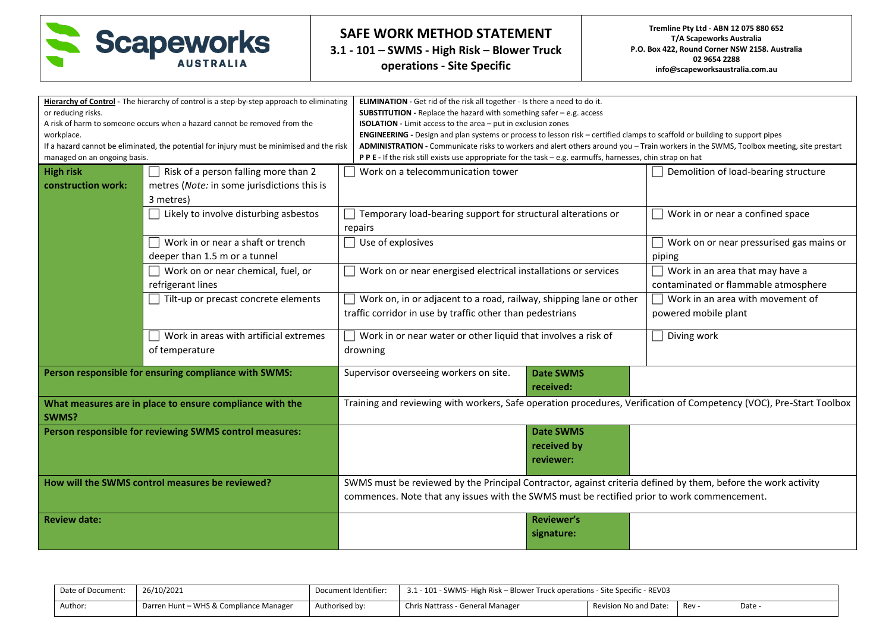

**3.1 - 101 – SWMS - High Risk – Blower Truck operations - Site Specific**

|                              |                                                                                           | ELIMINATION - Get rid of the risk all together - Is there a need to do it.                                                            |                                          |  |  |  |  |  |
|------------------------------|-------------------------------------------------------------------------------------------|---------------------------------------------------------------------------------------------------------------------------------------|------------------------------------------|--|--|--|--|--|
| or reducing risks.           | Hierarchy of Control - The hierarchy of control is a step-by-step approach to eliminating | <b>SUBSTITUTION</b> - Replace the hazard with something safer $-$ e.g. access                                                         |                                          |  |  |  |  |  |
|                              | A risk of harm to someone occurs when a hazard cannot be removed from the                 | <b>ISOLATION</b> - Limit access to the area - put in exclusion zones                                                                  |                                          |  |  |  |  |  |
| workplace.                   |                                                                                           | ENGINEERING - Design and plan systems or process to lesson risk - certified clamps to scaffold or building to support pipes           |                                          |  |  |  |  |  |
|                              | If a hazard cannot be eliminated, the potential for injury must be minimised and the risk | ADMINISTRATION - Communicate risks to workers and alert others around you - Train workers in the SWMS, Toolbox meeting, site prestart |                                          |  |  |  |  |  |
| managed on an ongoing basis. |                                                                                           | PPE - If the risk still exists use appropriate for the task - e.g. earmuffs, harnesses, chin strap on hat                             |                                          |  |  |  |  |  |
| <b>High risk</b>             | Risk of a person falling more than 2                                                      | Work on a telecommunication tower                                                                                                     | Demolition of load-bearing structure     |  |  |  |  |  |
| construction work:           | metres (Note: in some jurisdictions this is                                               |                                                                                                                                       |                                          |  |  |  |  |  |
|                              | 3 metres)                                                                                 |                                                                                                                                       |                                          |  |  |  |  |  |
|                              | Likely to involve disturbing asbestos                                                     | Temporary load-bearing support for structural alterations or                                                                          | Work in or near a confined space         |  |  |  |  |  |
|                              |                                                                                           | repairs                                                                                                                               |                                          |  |  |  |  |  |
|                              | Work in or near a shaft or trench                                                         | $\Box$ Use of explosives                                                                                                              | Work on or near pressurised gas mains or |  |  |  |  |  |
|                              | deeper than 1.5 m or a tunnel                                                             |                                                                                                                                       | piping                                   |  |  |  |  |  |
|                              | $\Box$ Work on or near chemical, fuel, or                                                 | $\Box$ Work on or near energised electrical installations or services                                                                 | $\Box$ Work in an area that may have a   |  |  |  |  |  |
|                              | refrigerant lines                                                                         |                                                                                                                                       | contaminated or flammable atmosphere     |  |  |  |  |  |
|                              | Tilt-up or precast concrete elements                                                      | Work on, in or adjacent to a road, railway, shipping lane or other                                                                    | Work in an area with movement of         |  |  |  |  |  |
|                              |                                                                                           | traffic corridor in use by traffic other than pedestrians                                                                             | powered mobile plant                     |  |  |  |  |  |
|                              |                                                                                           |                                                                                                                                       | Diving work                              |  |  |  |  |  |
|                              | Work in areas with artificial extremes                                                    | $\Box$ Work in or near water or other liquid that involves a risk of                                                                  |                                          |  |  |  |  |  |
|                              | of temperature                                                                            | drowning                                                                                                                              |                                          |  |  |  |  |  |
|                              | Person responsible for ensuring compliance with SWMS:                                     | Supervisor overseeing workers on site.<br><b>Date SWMS</b>                                                                            |                                          |  |  |  |  |  |
|                              |                                                                                           | received:                                                                                                                             |                                          |  |  |  |  |  |
|                              | What measures are in place to ensure compliance with the                                  | Training and reviewing with workers, Safe operation procedures, Verification of Competency (VOC), Pre-Start Toolbox                   |                                          |  |  |  |  |  |
| SWMS?                        |                                                                                           |                                                                                                                                       |                                          |  |  |  |  |  |
|                              | Person responsible for reviewing SWMS control measures:                                   | <b>Date SWMS</b>                                                                                                                      |                                          |  |  |  |  |  |
|                              |                                                                                           | received by                                                                                                                           |                                          |  |  |  |  |  |
|                              |                                                                                           | reviewer:                                                                                                                             |                                          |  |  |  |  |  |
|                              |                                                                                           |                                                                                                                                       |                                          |  |  |  |  |  |
|                              | How will the SWMS control measures be reviewed?                                           | SWMS must be reviewed by the Principal Contractor, against criteria defined by them, before the work activity                         |                                          |  |  |  |  |  |
|                              |                                                                                           | commences. Note that any issues with the SWMS must be rectified prior to work commencement.                                           |                                          |  |  |  |  |  |
| <b>Review date:</b>          |                                                                                           | <b>Reviewer's</b>                                                                                                                     |                                          |  |  |  |  |  |
|                              |                                                                                           | signature:                                                                                                                            |                                          |  |  |  |  |  |
|                              |                                                                                           |                                                                                                                                       |                                          |  |  |  |  |  |

| Date of Document: | 26/10/2021                             | Document Identifier: |                                  | 3.1 - 101 - SWMS- High Risk – Blower Truck operations - Site Specific - REV03 |     |      |  |  |  |  |
|-------------------|----------------------------------------|----------------------|----------------------------------|-------------------------------------------------------------------------------|-----|------|--|--|--|--|
| Author:           | Darren Hunt - WHS & Compliance Manager | Authorised by:       | Chris Nattrass - General Manager | Revision No and Date:                                                         | Rev | Date |  |  |  |  |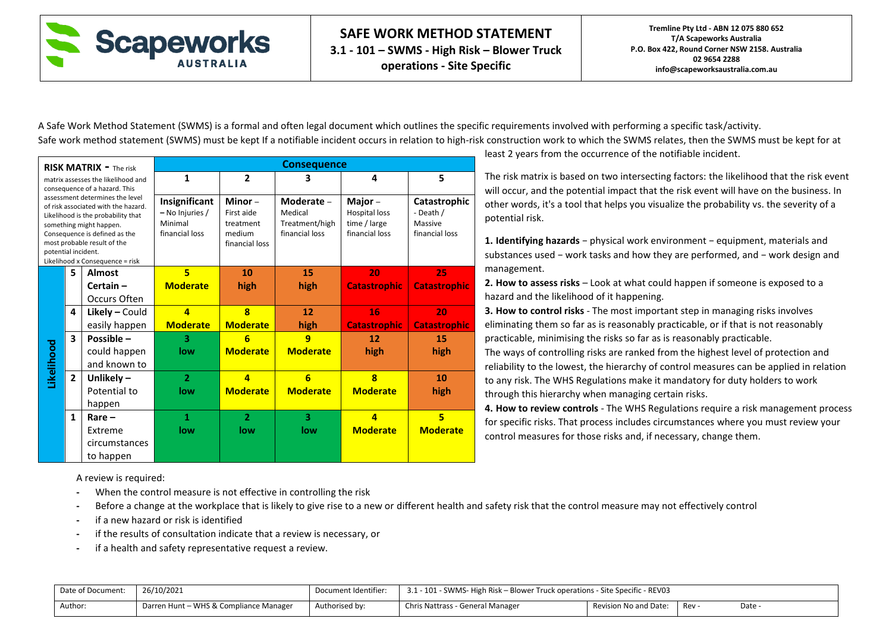

A Safe Work Method Statement (SWMS) is a formal and often legal document which outlines the specific requirements involved with performing a specific task/activity. Safe work method statement (SWMS) must be kept If a notifiable incident occurs in relation to high-risk construction work to which the SWMS relates, then the SWMS must be kept for at

|                     |                | <b>RISK MATRIX - The risk</b>                                                                                                                                                                                                              |                                                               |                                                               | <b>Consequence</b>                                        |                                                                     |                                                        |
|---------------------|----------------|--------------------------------------------------------------------------------------------------------------------------------------------------------------------------------------------------------------------------------------------|---------------------------------------------------------------|---------------------------------------------------------------|-----------------------------------------------------------|---------------------------------------------------------------------|--------------------------------------------------------|
|                     |                | matrix assesses the likelihood and<br>consequence of a hazard. This                                                                                                                                                                        | 1                                                             | $\overline{2}$                                                | 3                                                         | 4                                                                   | 5                                                      |
| potential incident. |                | assessment determines the level<br>of risk associated with the hazard.<br>Likelihood is the probability that<br>something might happen.<br>Consequence is defined as the<br>most probable result of the<br>Likelihood x Consequence = risk | Insignificant<br>- No Injuries /<br>Minimal<br>financial loss | Minor-<br>First aide<br>treatment<br>medium<br>financial loss | Moderate -<br>Medical<br>Treatment/high<br>financial loss | Major $-$<br><b>Hospital loss</b><br>time / large<br>financial loss | Catastrophic<br>- Death /<br>Massive<br>financial loss |
|                     | 5              | <b>Almost</b>                                                                                                                                                                                                                              | $\overline{\mathbf{5}}$                                       | 10                                                            | 15                                                        | 20                                                                  | 25                                                     |
|                     |                | $Certain -$                                                                                                                                                                                                                                | <b>Moderate</b>                                               | high                                                          | high                                                      | <b>Catastrophic</b>                                                 | <b>Catastrophic</b>                                    |
|                     |                | Occurs Often                                                                                                                                                                                                                               |                                                               |                                                               |                                                           |                                                                     |                                                        |
|                     | 4              | $Likely - Could$                                                                                                                                                                                                                           | $\overline{\mathbf{a}}$                                       | $\bf{8}$                                                      | 12                                                        | 16                                                                  | 20                                                     |
|                     |                | easily happen                                                                                                                                                                                                                              | <b>Moderate</b>                                               | <b>Moderate</b>                                               | high                                                      | <b>Catastrophic</b>                                                 | <b>Catastrophic</b>                                    |
|                     | 3              | Possible -                                                                                                                                                                                                                                 | 3                                                             | 6                                                             | q                                                         | 12                                                                  | 15                                                     |
|                     |                | could happen                                                                                                                                                                                                                               | low                                                           | <b>Moderate</b>                                               | <b>Moderate</b>                                           | high                                                                | high                                                   |
| Likelihood          |                | and known to                                                                                                                                                                                                                               |                                                               |                                                               |                                                           |                                                                     |                                                        |
|                     | $\overline{2}$ | Unlikely $-$                                                                                                                                                                                                                               | $\overline{2}$                                                | 4                                                             | $6\overline{6}$                                           | $\overline{\mathbf{8}}$                                             | 10                                                     |
|                     |                | Potential to                                                                                                                                                                                                                               | low                                                           | <b>Moderate</b>                                               | <b>Moderate</b>                                           | <b>Moderate</b>                                                     | high                                                   |
|                     |                | happen                                                                                                                                                                                                                                     |                                                               |                                                               |                                                           |                                                                     |                                                        |
|                     | $\mathbf{1}$   | $Rare -$                                                                                                                                                                                                                                   | 1                                                             | $\overline{2}$                                                | 3                                                         | $\overline{a}$                                                      | 5                                                      |
|                     |                | Extreme                                                                                                                                                                                                                                    | low                                                           | low                                                           | low                                                       | <b>Moderate</b>                                                     | <b>Moderate</b>                                        |
|                     |                | circumstances                                                                                                                                                                                                                              |                                                               |                                                               |                                                           |                                                                     |                                                        |
|                     |                | to happen                                                                                                                                                                                                                                  |                                                               |                                                               |                                                           |                                                                     |                                                        |

least 2 years from the occurrence of the notifiable incident.

The risk matrix is based on two intersecting factors: the likelihood that the risk event will occur, and the potential impact that the risk event will have on the business. In other words, it's a tool that helps you visualize the probability vs. the severity of a potential risk.

**1. Identifying hazards** − physical work environment − equipment, materials and substances used − work tasks and how they are performed, and − work design and management.

**2. How to assess risks** – Look at what could happen if someone is exposed to a hazard and the likelihood of it happening.

**3. How to control risks** - The most important step in managing risks involves eliminating them so far as is reasonably practicable, or if that is not reasonably practicable, minimising the risks so far as is reasonably practicable.

The ways of controlling risks are ranked from the highest level of protection and reliability to the lowest, the hierarchy of control measures can be applied in relation to any risk. The WHS Regulations make it mandatory for duty holders to work through this hierarchy when managing certain risks.

**4. How to review controls** - The WHS Regulations require a risk management process for specific risks. That process includes circumstances where you must review your control measures for those risks and, if necessary, change them.

A review is required:

- **-** When the control measure is not effective in controlling the risk
- **-** Before a change at the workplace that is likely to give rise to a new or different health and safety risk that the control measure may not effectively control
- **-** if a new hazard or risk is identified
- **-** if the results of consultation indicate that a review is necessary, or
- **-** if a health and safety representative request a review.

| Date of Document: | 26/10/2021                             | Document Identifier: | 1 - 101 - SWMS- High Risk – Blower Truck operations - Site Specific - REV03 |                              |     |        |  |  |  |
|-------------------|----------------------------------------|----------------------|-----------------------------------------------------------------------------|------------------------------|-----|--------|--|--|--|
| Author:           | Darren Hunt – WHS & Compliance Manager | Authorised by:       | Chris Nattrass - General Manager                                            | <b>Revision No and Date:</b> | Rev | Date - |  |  |  |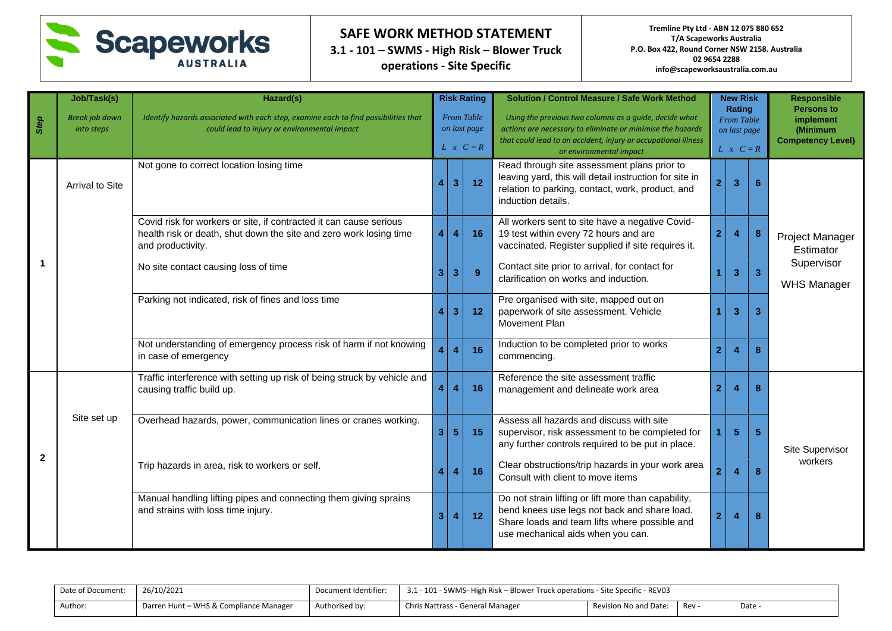

**3.1 - 101 – SWMS - High Risk – Blower Truck operations - Site Specific**

| Step           | Job/Task(s)<br><b>Break job down</b><br>into steps | Hazard(s)<br>Identify hazards associated with each step, examine each to find possibilities that<br>could lead to injury or environmental impact              |                |                         | <b>Risk Rating</b><br><b>From Table</b><br>on last page<br>$L \times C = R$ | <b>Solution / Control Measure / Safe Work Method</b><br>Using the previous two columns as a quide, decide what<br>actions are necessary to eliminate or minimise the hazards<br>that could lead to an accident, injury or occupational illness<br>or environmental impact | <b>New Risk</b><br>Rating<br><b>From Table</b><br>on last page<br>$L \times C = R$ |                |                | <b>Responsible</b><br><b>Persons to</b><br><i>implement</i><br>(Minimum<br><b>Competency Level)</b> |
|----------------|----------------------------------------------------|---------------------------------------------------------------------------------------------------------------------------------------------------------------|----------------|-------------------------|-----------------------------------------------------------------------------|---------------------------------------------------------------------------------------------------------------------------------------------------------------------------------------------------------------------------------------------------------------------------|------------------------------------------------------------------------------------|----------------|----------------|-----------------------------------------------------------------------------------------------------|
|                | Arrival to Site                                    | Not gone to correct location losing time                                                                                                                      |                | 3 <sup>1</sup>          | 12                                                                          | Read through site assessment plans prior to<br>leaving yard, this will detail instruction for site in<br>relation to parking, contact, work, product, and<br>induction details.                                                                                           | 2 <sup>1</sup>                                                                     | $\overline{3}$ | 6              |                                                                                                     |
|                |                                                    | Covid risk for workers or site, if contracted it can cause serious<br>health risk or death, shut down the site and zero work losing time<br>and productivity. | 4              | $\overline{4}$          | 16                                                                          | All workers sent to site have a negative Covid-<br>19 test within every 72 hours and are<br>vaccinated. Register supplied if site requires it.                                                                                                                            | 2 <sup>1</sup>                                                                     | $\overline{4}$ | 8              | Project Manager<br>Estimator                                                                        |
|                |                                                    | No site contact causing loss of time                                                                                                                          | 3 <sup>1</sup> | 3                       | 9 <sup>°</sup>                                                              | Contact site prior to arrival, for contact for<br>clarification on works and induction.                                                                                                                                                                                   |                                                                                    | 3              | $\overline{3}$ | Supervisor<br><b>WHS Manager</b>                                                                    |
|                |                                                    | Parking not indicated, risk of fines and loss time                                                                                                            |                | 3 <sup>2</sup>          | 12                                                                          | Pre organised with site, mapped out on<br>paperwork of site assessment. Vehicle<br>Movement Plan                                                                                                                                                                          |                                                                                    | 3              | 3              |                                                                                                     |
|                |                                                    | Not understanding of emergency process risk of harm if not knowing<br>in case of emergency                                                                    |                | $\overline{\mathbf{4}}$ | 16                                                                          | Induction to be completed prior to works<br>commencing.                                                                                                                                                                                                                   | $\overline{2}$                                                                     | Z              | 8              |                                                                                                     |
|                |                                                    | Traffic interference with setting up risk of being struck by vehicle and<br>causing traffic build up.                                                         | 4 <sup>1</sup> | $\overline{\mathbf{4}}$ | 16                                                                          | Reference the site assessment traffic<br>management and delineate work area                                                                                                                                                                                               | $\overline{2}$                                                                     | 4              | 8              |                                                                                                     |
|                | Site set up                                        | Overhead hazards, power, communication lines or cranes working.                                                                                               | 3 <sup>1</sup> | 5 <sub>5</sub>          | 15                                                                          | Assess all hazards and discuss with site<br>supervisor, risk assessment to be completed for<br>any further controls required to be put in place.                                                                                                                          |                                                                                    | 5              | $5\phantom{1}$ | Site Supervisor                                                                                     |
| $\overline{2}$ |                                                    | Trip hazards in area, risk to workers or self.                                                                                                                |                |                         | 16                                                                          | Clear obstructions/trip hazards in your work area<br>Consult with client to move items                                                                                                                                                                                    | 2                                                                                  | Z              | 8              | workers                                                                                             |
|                |                                                    | Manual handling lifting pipes and connecting them giving sprains<br>and strains with loss time injury.                                                        | 3 <sup>1</sup> | 4                       | 12                                                                          | Do not strain lifting or lift more than capability,<br>bend knees use legs not back and share load.<br>Share loads and team lifts where possible and<br>use mechanical aids when you can.                                                                                 | 2 <sup>1</sup>                                                                     | 4              | 8              |                                                                                                     |

| Date of Document: | 26/10/2021                             | Document Identifier: | 3.1 - 101 - SWMS- High Risk – Blower Truck operations - Site Specific - REV03 |                       |     |      |
|-------------------|----------------------------------------|----------------------|-------------------------------------------------------------------------------|-----------------------|-----|------|
| Author:           | Darren Hunt – WHS & Compliance Manager | Authorised by:       | Chris Nattrass - General Manager                                              | Revision No and Date: | Rev | Date |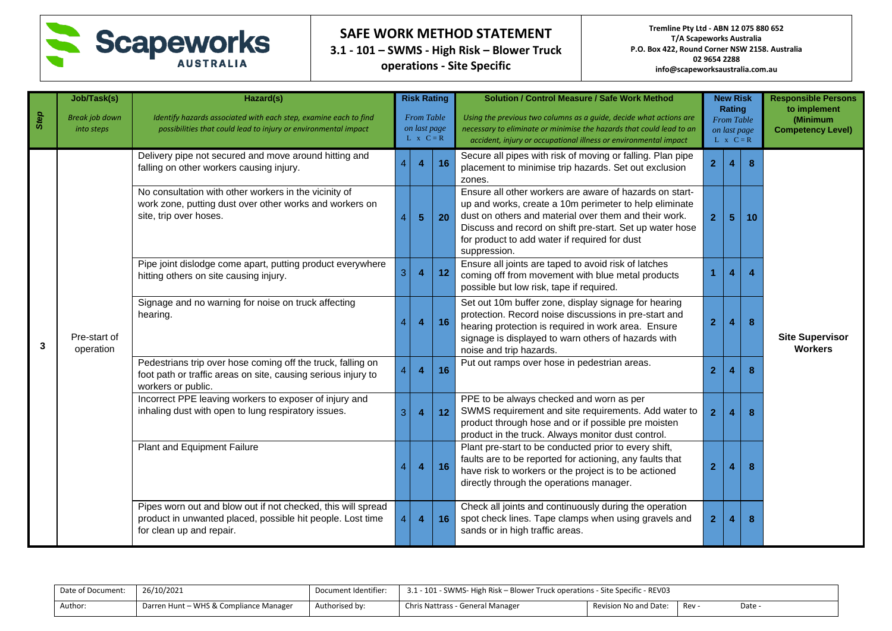

**3.1 - 101 – SWMS - High Risk – Blower Truck operations - Site Specific**

|      | Job/Task(s)                         | Hazard(s)                                                                                                                                              |                        | <b>Risk Rating</b>                                    |    | <b>Solution / Control Measure / Safe Work Method</b>                                                                                                                                                                                                                                                    |                                                       | <b>New Risk</b><br>Rating |    | <b>Responsible Persons</b><br>to implement |  |
|------|-------------------------------------|--------------------------------------------------------------------------------------------------------------------------------------------------------|------------------------|-------------------------------------------------------|----|---------------------------------------------------------------------------------------------------------------------------------------------------------------------------------------------------------------------------------------------------------------------------------------------------------|-------------------------------------------------------|---------------------------|----|--------------------------------------------|--|
| Step | <b>Break job down</b><br>into steps | Identify hazards associated with each step, examine each to find<br>possibilities that could lead to injury or environmental impact                    |                        | <b>From Table</b><br>on last page<br>$L \times C = R$ |    | Using the previous two columns as a quide, decide what actions are<br>necessary to eliminate or minimise the hazards that could lead to an<br>accident, injury or occupational illness or environmental impact                                                                                          | <b>From Table</b><br>on last page<br>$L \times C = R$ |                           |    | (Minimum<br><b>Competency Level)</b>       |  |
|      |                                     | Delivery pipe not secured and move around hitting and<br>falling on other workers causing injury.                                                      |                        | $\overline{\mathbf{4}}$                               | 16 | Secure all pipes with risk of moving or falling. Plan pipe<br>placement to minimise trip hazards. Set out exclusion<br>zones.                                                                                                                                                                           | $\overline{2}$                                        | 4                         |    |                                            |  |
|      |                                     | No consultation with other workers in the vicinity of<br>work zone, putting dust over other works and workers on<br>site, trip over hoses.             | $\overline{4}$         | 5 <sub>5</sub>                                        | 20 | Ensure all other workers are aware of hazards on start-<br>up and works, create a 10m perimeter to help eliminate<br>dust on others and material over them and their work.<br>Discuss and record on shift pre-start. Set up water hose<br>for product to add water if required for dust<br>suppression. | $\mathbf{2}$                                          | 5                         | 10 |                                            |  |
|      |                                     | Pipe joint dislodge come apart, putting product everywhere<br>hitting others on site causing injury.                                                   | 3                      | $\overline{4}$                                        | 12 | Ensure all joints are taped to avoid risk of latches<br>coming off from movement with blue metal products<br>possible but low risk, tape if required.                                                                                                                                                   |                                                       | 4                         |    |                                            |  |
| 3    | Pre-start of<br>operation           | Signage and no warning for noise on truck affecting<br>hearing.                                                                                        | $\boldsymbol{\Lambda}$ | $\overline{\mathbf{4}}$                               | 16 | Set out 10m buffer zone, display signage for hearing<br>protection. Record noise discussions in pre-start and<br>hearing protection is required in work area. Ensure<br>signage is displayed to warn others of hazards with<br>noise and trip hazards.                                                  | $\overline{2}$                                        | 4                         | 8  | <b>Site Supervisor</b><br><b>Workers</b>   |  |
|      |                                     | Pedestrians trip over hose coming off the truck, falling on<br>foot path or traffic areas on site, causing serious injury to<br>workers or public.     | $\overline{4}$         | $\overline{\mathbf{4}}$                               | 16 | Put out ramps over hose in pedestrian areas.                                                                                                                                                                                                                                                            | $\overline{2}$                                        |                           | 8  |                                            |  |
|      |                                     | Incorrect PPE leaving workers to exposer of injury and<br>inhaling dust with open to lung respiratory issues.                                          | 3                      | $\overline{4}$                                        | 12 | PPE to be always checked and worn as per<br>SWMS requirement and site requirements. Add water to<br>product through hose and or if possible pre moisten<br>product in the truck. Always monitor dust control.                                                                                           | $\overline{2}$                                        | 4                         | 8  |                                            |  |
|      |                                     | Plant and Equipment Failure                                                                                                                            | 4                      | $\overline{\mathbf{4}}$                               | 16 | Plant pre-start to be conducted prior to every shift,<br>faults are to be reported for actioning, any faults that<br>have risk to workers or the project is to be actioned<br>directly through the operations manager.                                                                                  | $\overline{2}$                                        | 4                         | 8  |                                            |  |
|      |                                     | Pipes worn out and blow out if not checked, this will spread<br>product in unwanted placed, possible hit people. Lost time<br>for clean up and repair. | $\overline{4}$         | $\overline{\mathbf{4}}$                               | 16 | Check all joints and continuously during the operation<br>spot check lines. Tape clamps when using gravels and<br>sands or in high traffic areas.                                                                                                                                                       | $\mathbf{2}$                                          | 4                         | 8  |                                            |  |

| Date of Document: | 26/10/2021                             | Document Identifier: | 3.1 - 101 - SWMS- High Risk – Blower Truck operations - Site Specific - REV03 |                       |     |        |
|-------------------|----------------------------------------|----------------------|-------------------------------------------------------------------------------|-----------------------|-----|--------|
| Author:           | Darren Hunt – WHS & Compliance Manager | Authorised by:       | Chris Nattrass - General Manager                                              | Revision No and Date: | Rev | Date - |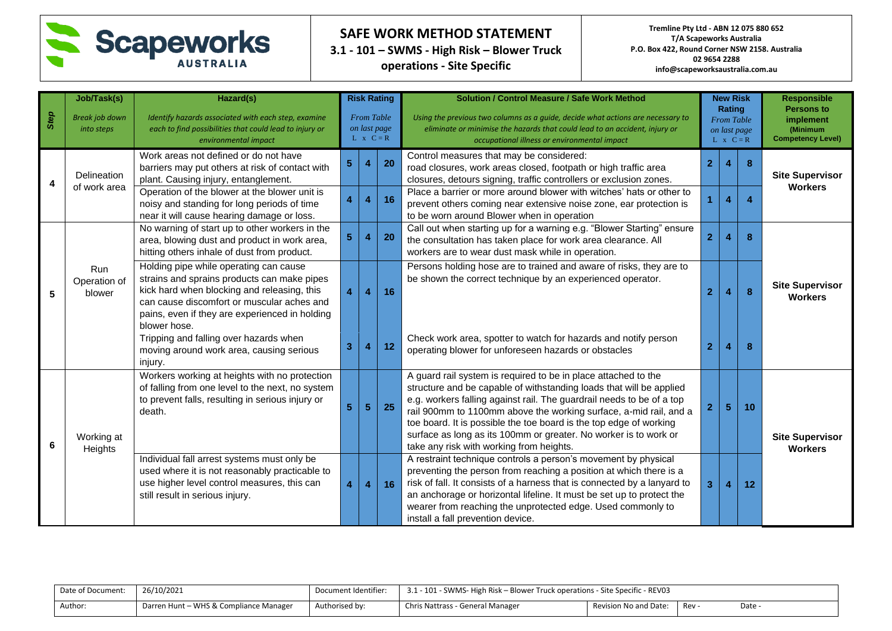

**3.1 - 101 – SWMS - High Risk – Blower Truck operations - Site Specific**

|      | Job/Task(s)                         | Hazard(s)                                                                                                                                                                                                                                            |                                                       | <b>Risk Rating</b>      |           | <b>Solution / Control Measure / Safe Work Method</b>                                                                                                                                                                                                                                                                                                                                                                                                                      |                | <b>New Risk</b>                                                 |                  | <b>Responsible</b>                                                     |
|------|-------------------------------------|------------------------------------------------------------------------------------------------------------------------------------------------------------------------------------------------------------------------------------------------------|-------------------------------------------------------|-------------------------|-----------|---------------------------------------------------------------------------------------------------------------------------------------------------------------------------------------------------------------------------------------------------------------------------------------------------------------------------------------------------------------------------------------------------------------------------------------------------------------------------|----------------|-----------------------------------------------------------------|------------------|------------------------------------------------------------------------|
| Step | <b>Break job down</b><br>into steps | Identify hazards associated with each step, examine<br>each to find possibilities that could lead to injury or<br>environmental impact                                                                                                               | <b>From Table</b><br>on last page<br>$L \times C = R$ |                         |           | Using the previous two columns as a guide, decide what actions are necessary to<br>eliminate or minimise the hazards that could lead to an accident, injury or<br>occupational illness or environmental impact                                                                                                                                                                                                                                                            |                | Rating<br><b>From Table</b><br>on last page<br>$L \times C = R$ |                  | <b>Persons to</b><br>implement<br>(Minimum<br><b>Competency Level)</b> |
| 4    | Delineation<br>of work area         | Work areas not defined or do not have<br>barriers may put others at risk of contact with<br>plant. Causing injury, entanglement.                                                                                                                     | 5                                                     | 4                       | 20        | Control measures that may be considered:<br>road closures, work areas closed, footpath or high traffic area<br>closures, detours signing, traffic controllers or exclusion zones.                                                                                                                                                                                                                                                                                         | $\overline{2}$ |                                                                 | 8                | <b>Site Supervisor</b><br><b>Workers</b>                               |
|      |                                     | Operation of the blower at the blower unit is<br>noisy and standing for long periods of time<br>near it will cause hearing damage or loss.                                                                                                           | 4                                                     | $\overline{4}$          | 16        | Place a barrier or more around blower with witches' hats or other to<br>prevent others coming near extensive noise zone, ear protection is<br>to be worn around Blower when in operation                                                                                                                                                                                                                                                                                  |                | 4                                                               | $\boldsymbol{A}$ |                                                                        |
|      |                                     | No warning of start up to other workers in the<br>area, blowing dust and product in work area,<br>hitting others inhale of dust from product.                                                                                                        | 5                                                     | $\overline{4}$          | <b>20</b> | Call out when starting up for a warning e.g. "Blower Starting" ensure<br>the consultation has taken place for work area clearance. All<br>workers are to wear dust mask while in operation.                                                                                                                                                                                                                                                                               | $\overline{2}$ |                                                                 | 8                |                                                                        |
| 5    | Run<br>Operation of<br>blower       | Holding pipe while operating can cause<br>strains and sprains products can make pipes<br>kick hard when blocking and releasing, this<br>can cause discomfort or muscular aches and<br>pains, even if they are experienced in holding<br>blower hose. | 4                                                     | $\overline{4}$          | 16        | Persons holding hose are to trained and aware of risks, they are to<br>be shown the correct technique by an experienced operator.                                                                                                                                                                                                                                                                                                                                         | $\overline{2}$ |                                                                 | 8                | <b>Site Supervisor</b><br><b>Workers</b>                               |
|      |                                     | Tripping and falling over hazards when<br>moving around work area, causing serious<br>injury.                                                                                                                                                        | 3                                                     | $\overline{4}$          | 12        | Check work area, spotter to watch for hazards and notify person<br>operating blower for unforeseen hazards or obstacles                                                                                                                                                                                                                                                                                                                                                   | $\overline{2}$ |                                                                 | 8                |                                                                        |
| 6    | Working at<br>Heights               | Workers working at heights with no protection<br>of falling from one level to the next, no system<br>to prevent falls, resulting in serious injury or<br>death.                                                                                      | 5                                                     | $\sqrt{5}$              | <b>25</b> | A guard rail system is required to be in place attached to the<br>structure and be capable of withstanding loads that will be applied<br>e.g. workers falling against rail. The guardrail needs to be of a top<br>rail 900mm to 1100mm above the working surface, a-mid rail, and a<br>toe board. It is possible the toe board is the top edge of working<br>surface as long as its 100mm or greater. No worker is to work or<br>take any risk with working from heights. | $\overline{2}$ | 5 <sub>5</sub>                                                  | 10               | <b>Site Supervisor</b><br><b>Workers</b>                               |
|      |                                     | Individual fall arrest systems must only be<br>used where it is not reasonably practicable to<br>use higher level control measures, this can<br>still result in serious injury.                                                                      | 4                                                     | $\overline{\mathbf{4}}$ | 16        | A restraint technique controls a person's movement by physical<br>preventing the person from reaching a position at which there is a<br>risk of fall. It consists of a harness that is connected by a lanyard to<br>an anchorage or horizontal lifeline. It must be set up to protect the<br>wearer from reaching the unprotected edge. Used commonly to<br>install a fall prevention device.                                                                             | 3              | 4                                                               | 12               |                                                                        |

| Date of Document: | 26/10/2021                             | Document Identifier: | 3.1 - 101 - SWMS- High Risk – Blower Truck operations - Site Specific - REV03 |                       |     |      |
|-------------------|----------------------------------------|----------------------|-------------------------------------------------------------------------------|-----------------------|-----|------|
| Author:           | Darren Hunt - WHS & Compliance Manager | Authorised by:       | Chris Nattrass - General Manager                                              | Revision No and Date: | Rev | Date |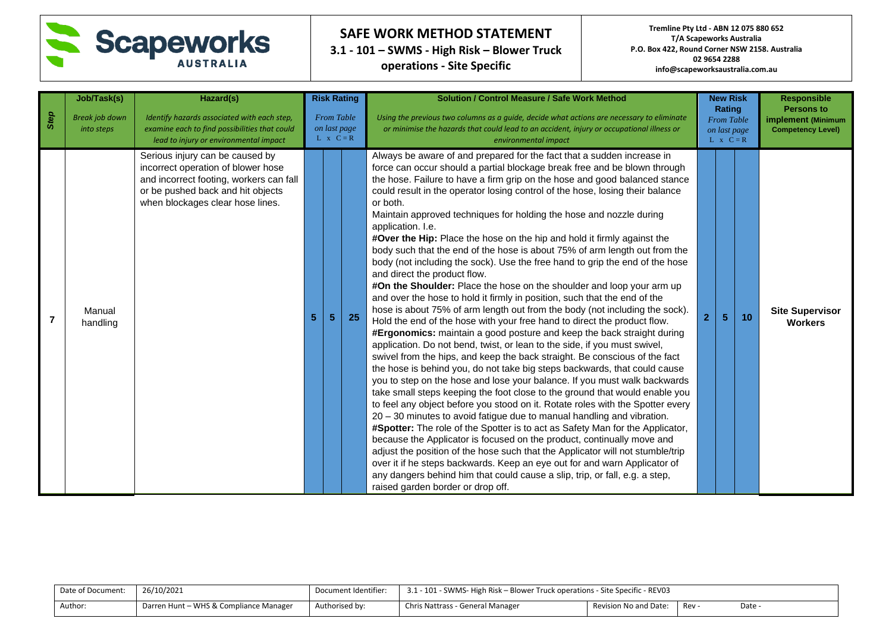

**3.1 - 101 – SWMS - High Risk – Blower Truck operations - Site Specific**

|                | Job/Task(s)                         | Hazard(s)                                                                                                                                                                                 | <b>Risk Rating</b><br><b>From Table</b><br>on last page<br>$L \times C = R$ |                |           | <b>Solution / Control Measure / Safe Work Method</b><br>Using the previous two columns as a quide, decide what actions are necessary to eliminate<br>or minimise the hazards that could lead to an accident, injury or occupational illness or<br>environmental impact                                                                                                                                                                                                                                                                                                                                                                                                                                                                                                                                                                                                                                                                                                                                                                                                                                                                                                                                                                                                                                                                                                                                                                                                                                                                                                                                                                                                                                                                                                                                                                                                                                                                                                                                                                                                                                       |  | <b>New Risk</b><br>Rating<br><b>From Table</b><br>on last page<br>$L \times C = R$ |    | <b>Responsible</b><br><b>Persons to</b><br>implement (Minimum<br><b>Competency Level)</b> |
|----------------|-------------------------------------|-------------------------------------------------------------------------------------------------------------------------------------------------------------------------------------------|-----------------------------------------------------------------------------|----------------|-----------|--------------------------------------------------------------------------------------------------------------------------------------------------------------------------------------------------------------------------------------------------------------------------------------------------------------------------------------------------------------------------------------------------------------------------------------------------------------------------------------------------------------------------------------------------------------------------------------------------------------------------------------------------------------------------------------------------------------------------------------------------------------------------------------------------------------------------------------------------------------------------------------------------------------------------------------------------------------------------------------------------------------------------------------------------------------------------------------------------------------------------------------------------------------------------------------------------------------------------------------------------------------------------------------------------------------------------------------------------------------------------------------------------------------------------------------------------------------------------------------------------------------------------------------------------------------------------------------------------------------------------------------------------------------------------------------------------------------------------------------------------------------------------------------------------------------------------------------------------------------------------------------------------------------------------------------------------------------------------------------------------------------------------------------------------------------------------------------------------------------|--|------------------------------------------------------------------------------------|----|-------------------------------------------------------------------------------------------|
| Step           | <b>Break job down</b><br>into steps | Identify hazards associated with each step,<br>examine each to find possibilities that could<br>lead to injury or environmental impact                                                    |                                                                             |                |           |                                                                                                                                                                                                                                                                                                                                                                                                                                                                                                                                                                                                                                                                                                                                                                                                                                                                                                                                                                                                                                                                                                                                                                                                                                                                                                                                                                                                                                                                                                                                                                                                                                                                                                                                                                                                                                                                                                                                                                                                                                                                                                              |  |                                                                                    |    |                                                                                           |
| $\overline{7}$ | Manual<br>handling                  | Serious injury can be caused by<br>incorrect operation of blower hose<br>and incorrect footing, workers can fall<br>or be pushed back and hit objects<br>when blockages clear hose lines. | 5                                                                           | 5 <sup>5</sup> | <b>25</b> | Always be aware of and prepared for the fact that a sudden increase in<br>force can occur should a partial blockage break free and be blown through<br>the hose. Failure to have a firm grip on the hose and good balanced stance<br>could result in the operator losing control of the hose, losing their balance<br>or both.<br>Maintain approved techniques for holding the hose and nozzle during<br>application. I.e.<br>#Over the Hip: Place the hose on the hip and hold it firmly against the<br>body such that the end of the hose is about 75% of arm length out from the<br>body (not including the sock). Use the free hand to grip the end of the hose<br>and direct the product flow.<br>#On the Shoulder: Place the hose on the shoulder and loop your arm up<br>and over the hose to hold it firmly in position, such that the end of the<br>hose is about 75% of arm length out from the body (not including the sock).<br>Hold the end of the hose with your free hand to direct the product flow.<br>#Ergonomics: maintain a good posture and keep the back straight during<br>application. Do not bend, twist, or lean to the side, if you must swivel,<br>swivel from the hips, and keep the back straight. Be conscious of the fact<br>the hose is behind you, do not take big steps backwards, that could cause<br>you to step on the hose and lose your balance. If you must walk backwards<br>take small steps keeping the foot close to the ground that would enable you<br>to feel any object before you stood on it. Rotate roles with the Spotter every<br>20 - 30 minutes to avoid fatigue due to manual handling and vibration.<br>#Spotter: The role of the Spotter is to act as Safety Man for the Applicator,<br>because the Applicator is focused on the product, continually move and<br>adjust the position of the hose such that the Applicator will not stumble/trip<br>over it if he steps backwards. Keep an eye out for and warn Applicator of<br>any dangers behind him that could cause a slip, trip, or fall, e.g. a step,<br>raised garden border or drop off. |  | 5                                                                                  | 10 | <b>Site Supervisor</b><br><b>Workers</b>                                                  |

| Date of Document: | 26/10/2021                             | Document Identifier: | 3.1 - 101 - SWMS- High Risk – Blower Truck operations - Site Specific - REV03 |                       |     |      |
|-------------------|----------------------------------------|----------------------|-------------------------------------------------------------------------------|-----------------------|-----|------|
| Author:           | Darren Hunt – WHS & Compliance Manager | Authorised by:       | Chris Nattrass - General Manager                                              | Revision No and Date: | Rev | Date |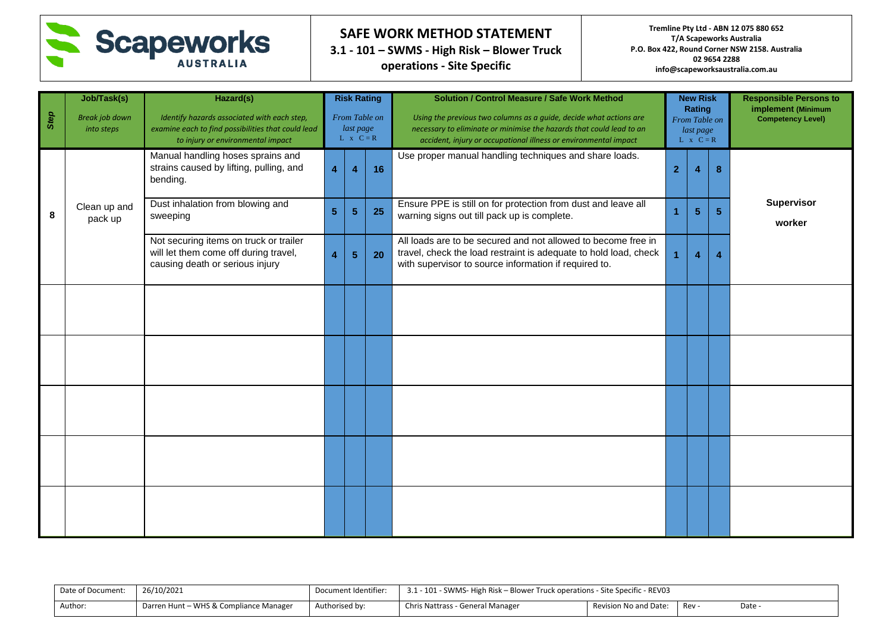

**3.1 - 101 – SWMS - High Risk – Blower Truck operations - Site Specific**

**Tremline Pty Ltd - ABN 12 075 880 652 T/A Scapeworks Australia P.O. Box 422, Round Corner NSW 2158. Australia 02 9654 2288 info@scapeworksaustralia.com.au**

| Step | Job/Task(s)<br><b>Break job down</b><br>into steps | Hazard(s)<br>Identify hazards associated with each step,<br>examine each to find possibilities that could lead<br>to injury or environmental impact | <b>Risk Rating</b><br>From Table on<br>last page<br>$L \times C = R$ |                       |    | <b>Solution / Control Measure / Safe Work Method</b><br>Using the previous two columns as a guide, decide what actions are<br>necessary to eliminate or minimise the hazards that could lead to an<br>accident, injury or occupational illness or environmental impact | <b>New Risk</b><br>Rating<br>From Table on<br>last page<br>$L \times C = R$ |                         |   | <b>Responsible Persons to</b><br>implement (Minimum<br><b>Competency Level)</b> |
|------|----------------------------------------------------|-----------------------------------------------------------------------------------------------------------------------------------------------------|----------------------------------------------------------------------|-----------------------|----|------------------------------------------------------------------------------------------------------------------------------------------------------------------------------------------------------------------------------------------------------------------------|-----------------------------------------------------------------------------|-------------------------|---|---------------------------------------------------------------------------------|
|      |                                                    | Manual handling hoses sprains and<br>strains caused by lifting, pulling, and<br>bending.                                                            | $\overline{\mathbf{4}}$                                              | 4                     | 16 | Use proper manual handling techniques and share loads.                                                                                                                                                                                                                 | $\overline{2}$                                                              | 4                       | 8 |                                                                                 |
| 8    | Clean up and<br>pack up                            | Dust inhalation from blowing and<br>sweeping                                                                                                        | 5 <sub>5</sub>                                                       | $5\phantom{.0}$       | 25 | Ensure PPE is still on for protection from dust and leave all<br>warning signs out till pack up is complete.                                                                                                                                                           |                                                                             | 5 <sub>5</sub>          | 5 | Supervisor<br>worker                                                            |
|      |                                                    | Not securing items on truck or trailer<br>will let them come off during travel,<br>causing death or serious injury                                  | $\overline{\mathbf{4}}$                                              | $5\phantom{.0}$<br>20 |    | All loads are to be secured and not allowed to become free in<br>travel, check the load restraint is adequate to hold load, check<br>with supervisor to source information if required to.                                                                             |                                                                             | $\overline{\mathbf{4}}$ | 4 |                                                                                 |
|      |                                                    |                                                                                                                                                     |                                                                      |                       |    |                                                                                                                                                                                                                                                                        |                                                                             |                         |   |                                                                                 |
|      |                                                    |                                                                                                                                                     |                                                                      |                       |    |                                                                                                                                                                                                                                                                        |                                                                             |                         |   |                                                                                 |
|      |                                                    |                                                                                                                                                     |                                                                      |                       |    |                                                                                                                                                                                                                                                                        |                                                                             |                         |   |                                                                                 |
|      |                                                    |                                                                                                                                                     |                                                                      |                       |    |                                                                                                                                                                                                                                                                        |                                                                             |                         |   |                                                                                 |
|      |                                                    |                                                                                                                                                     |                                                                      |                       |    |                                                                                                                                                                                                                                                                        |                                                                             |                         |   |                                                                                 |

Date of Document: 26/10/2021 Document Identifier: 3.1 - 101 - SWMS- High Risk – Blower Truck operations - Site Specific - REV03 Author: **Darren Hunt – WHS & Compliance Manager** Authorised by: Chris Nattrass - General Manager Revision No and Date: Rev - Date -